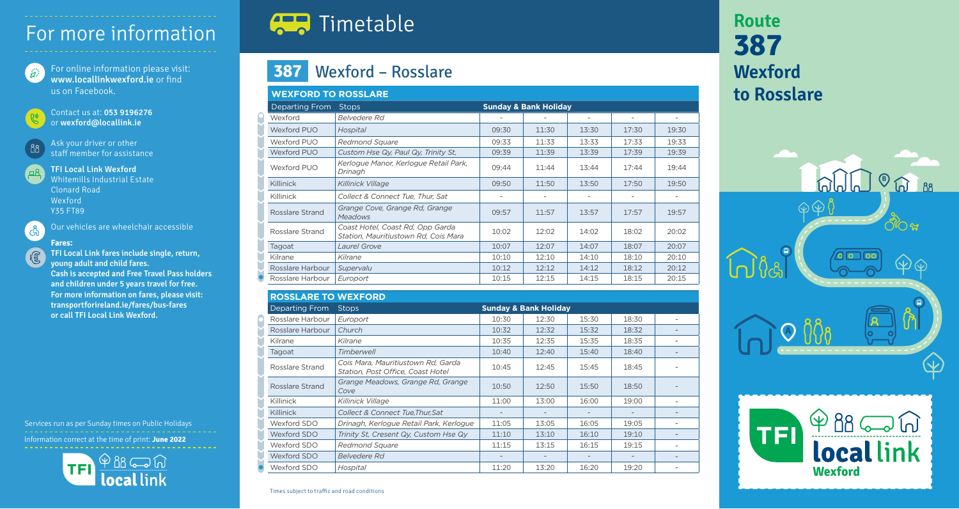# For more information

For online information please visit : ิสัต www.locallinkwexford.ie or find us on Facebook.

Contact us at : 053 9196276 or wexford@locallink.ie

Ask your driver or other staff member for assistance

TFI Local Link Wexford 四

Whitemills Industrial Estate Clonard Road Wexford Y35 FT89



88

Our vehicles are wheelchair accessible

#### **Fares :**

TFI Local Link fares include single, return, young adult and child fares. Cash is accepted and Free Travel Pass holders and children under 5 years travel for free. For more information on fares, please visit: transportforireland.ie/fares/bus-fares or call TFI Local Link Wexford.

Services run as per Sunday times on Public Holidays Information correct at the time of print : **June 2022**



# **CER** Timetable

### **387** Wexford – Rosslare

| <b>WEXFORD TO ROSSLARE</b> |                                                                          |                                  |       |       |       |       |  |  |  |  |  |
|----------------------------|--------------------------------------------------------------------------|----------------------------------|-------|-------|-------|-------|--|--|--|--|--|
| <b>Departing From</b>      | <b>Stops</b>                                                             | <b>Sunday &amp; Bank Holiday</b> |       |       |       |       |  |  |  |  |  |
| Wexford                    | <b>Belvedere Rd</b>                                                      |                                  |       |       |       |       |  |  |  |  |  |
| <b>Wexford PUO</b>         | Hospital                                                                 | 09:30                            | 11:30 | 13:30 | 17:30 | 19:30 |  |  |  |  |  |
| Wexford PUO                | <b>Redmond Square</b>                                                    | 09:33                            | 11:33 | 13:33 | 17:33 | 19:33 |  |  |  |  |  |
| <b>Wexford PUO</b>         | Custom Hse Qy, Paul Qy, Trinity St,                                      | 09:39                            | 11:39 | 13:39 | 17:39 | 19:39 |  |  |  |  |  |
| Wexford PUO                | Kerlogue Manor, Kerlogue Retail Park,<br>Drinagh                         | 09:44                            | 11:44 | 13:44 | 17:44 | 19:44 |  |  |  |  |  |
| Killinick                  | Killinick Village                                                        | 09:50                            | 11:50 | 13:50 | 17:50 | 19:50 |  |  |  |  |  |
| Killinick                  | Collect & Connect Tue, Thur, Sat                                         |                                  |       |       |       |       |  |  |  |  |  |
| Rosslare Strand            | Grange Cove, Grange Rd, Grange<br><b>Meadows</b>                         | 09:57                            | 11:57 | 13:57 | 17:57 | 19:57 |  |  |  |  |  |
| Rosslare Strand            | Coast Hotel, Coast Rd, Opp Garda<br>Station, Mauritiustown Rd, Cois Mara | 10:02                            | 12:02 | 14:02 | 18:02 | 20:02 |  |  |  |  |  |
| Tagoat                     | Laurel Grove                                                             | 10:07                            | 12:07 | 14:07 | 18:07 | 20:07 |  |  |  |  |  |
| Kilrane                    | Kilrane                                                                  | 10:10                            | 12:10 | 14:10 | 18:10 | 20:10 |  |  |  |  |  |
| Rosslare Harbour           | Supervalu                                                                | 10:12                            | 12:12 | 14:12 | 18:12 | 20:12 |  |  |  |  |  |
| Rosslare Harbour           | Europort                                                                 | 10:15                            | 12:15 | 14:15 | 18:15 | 20:15 |  |  |  |  |  |

**ROSSLARE TO WEXFORD** Departing From Stops **Sunday & Bank Holiday** Rosslare Harbour *Europort* 10:30 12:30 15:30 18:30 - Rosslare Harbour *Church* 10:32 12:32 15:32 18:32 - Kilrane *Kilrane* 10:35 12:35 15:35 18:35 - Tagoat *Timberwell* 10:40 12:40 15:40 18:40 - Rosslare Strand *Cois Mara, Mauritiustown Rd, Garda Station, Post Office, Coast Hotel* 10:45 12:45 15:45 18:45 - Rosslare Strand *Grange Meadows, Grange Rd, Grange Cove* 10:50 12:50 15:50 18:50 - Killinick *Killinick Village* 11:00 13:00 16:00 19:00 - Killinick *Collect & Connect Tue,Thur,Sat* - - - - - Wexford SDO *Drinagh, Kerlogue Retail Park, Kerlogue* 11:05 13:05 16:05 19:05 - Wexford SDO *Trinity St, Cresent Qy, Custom Hse Qy* 11:10 13:10 16:10 19:10 - Wexford SDO *Redmond Square* 11:15 13:15 16:15 19:15 - Wexford SDO *Belvedere Rd* - - - - - Wexford SDO *Hospital* 11:20 13:20 16:20 19:20 -

## **Route 387 Wexford to Rosslare**